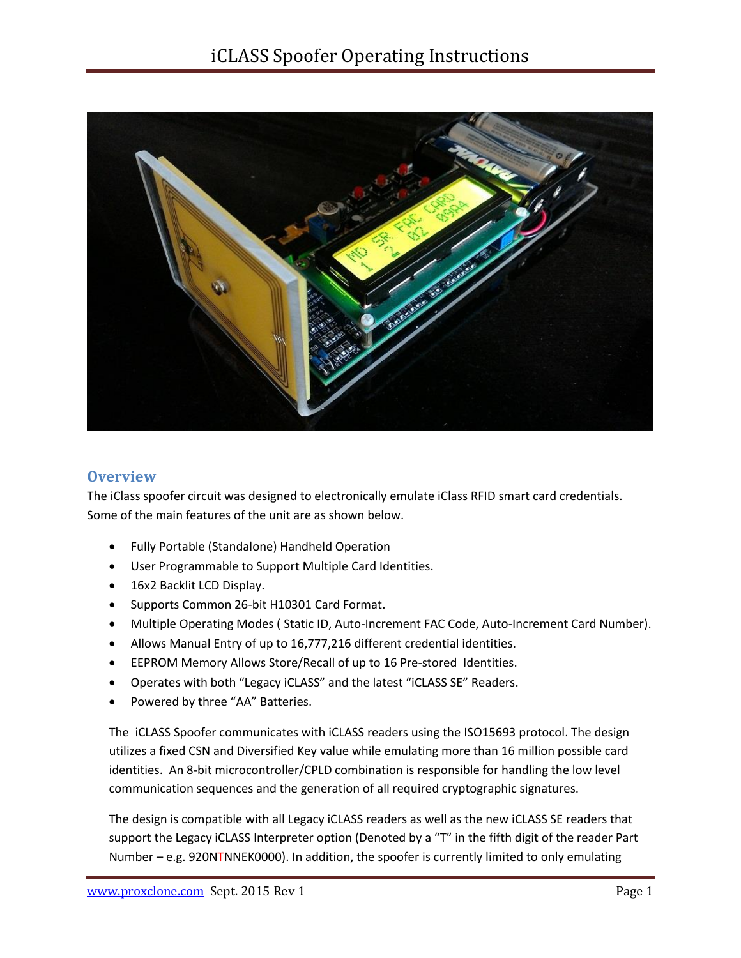

### **Overview**

The iClass spoofer circuit was designed to electronically emulate iClass RFID smart card credentials. Some of the main features of the unit are as shown below.

- Fully Portable (Standalone) Handheld Operation
- User Programmable to Support Multiple Card Identities.
- 16x2 Backlit LCD Display.
- Supports Common 26-bit H10301 Card Format.
- Multiple Operating Modes ( Static ID, Auto-Increment FAC Code, Auto-Increment Card Number).
- Allows Manual Entry of up to 16,777,216 different credential identities.
- EEPROM Memory Allows Store/Recall of up to 16 Pre-stored Identities.
- Operates with both "Legacy iCLASS" and the latest "iCLASS SE" Readers.
- Powered by three "AA" Batteries.

The iCLASS Spoofer communicates with iCLASS readers using the ISO15693 protocol. The design utilizes a fixed CSN and Diversified Key value while emulating more than 16 million possible card identities. An 8-bit microcontroller/CPLD combination is responsible for handling the low level communication sequences and the generation of all required cryptographic signatures.

The design is compatible with all Legacy iCLASS readers as well as the new iCLASS SE readers that support the Legacy iCLASS Interpreter option (Denoted by a "T" in the fifth digit of the reader Part Number – e.g. 920NTNNEK0000). In addition, the spoofer is currently limited to only emulating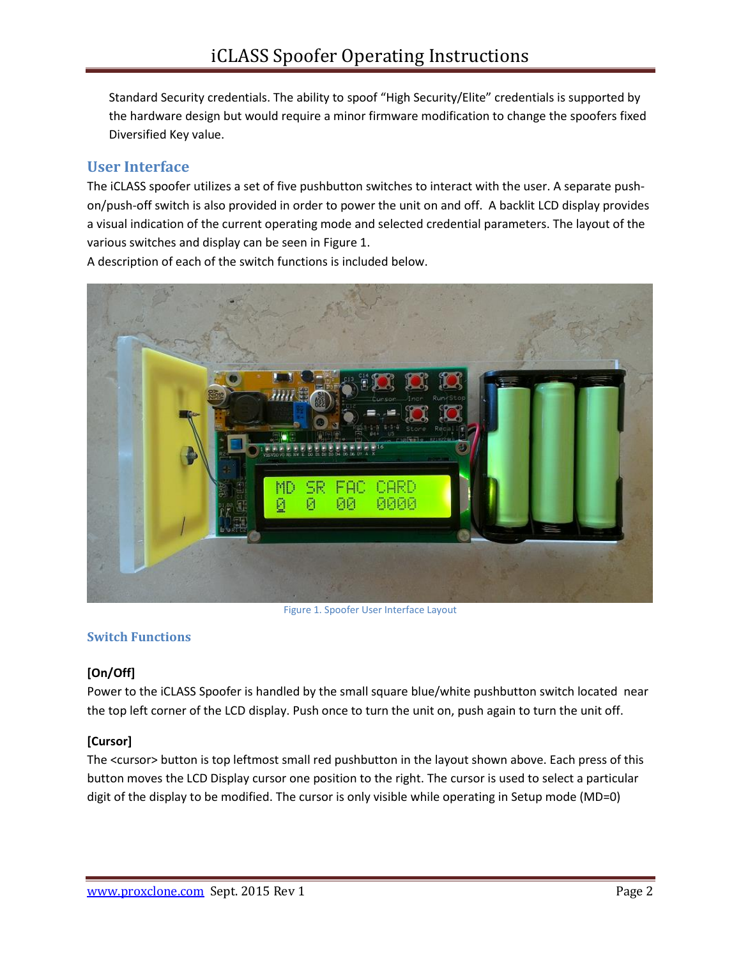Standard Security credentials. The ability to spoof "High Security/Elite" credentials is supported by the hardware design but would require a minor firmware modification to change the spoofers fixed Diversified Key value.

# **User Interface**

The iCLASS spoofer utilizes a set of five pushbutton switches to interact with the user. A separate pushon/push-off switch is also provided in order to power the unit on and off. A backlit LCD display provides a visual indication of the current operating mode and selected credential parameters. The layout of the various switches and display can be seen in Figure 1.

A description of each of the switch functions is included below.



Figure 1. Spoofer User Interface Layout

### **Switch Functions**

### **[On/Off]**

Power to the iCLASS Spoofer is handled by the small square blue/white pushbutton switch located near the top left corner of the LCD display. Push once to turn the unit on, push again to turn the unit off.

### **[Cursor]**

The <cursor> button is top leftmost small red pushbutton in the layout shown above. Each press of this button moves the LCD Display cursor one position to the right. The cursor is used to select a particular digit of the display to be modified. The cursor is only visible while operating in Setup mode (MD=0)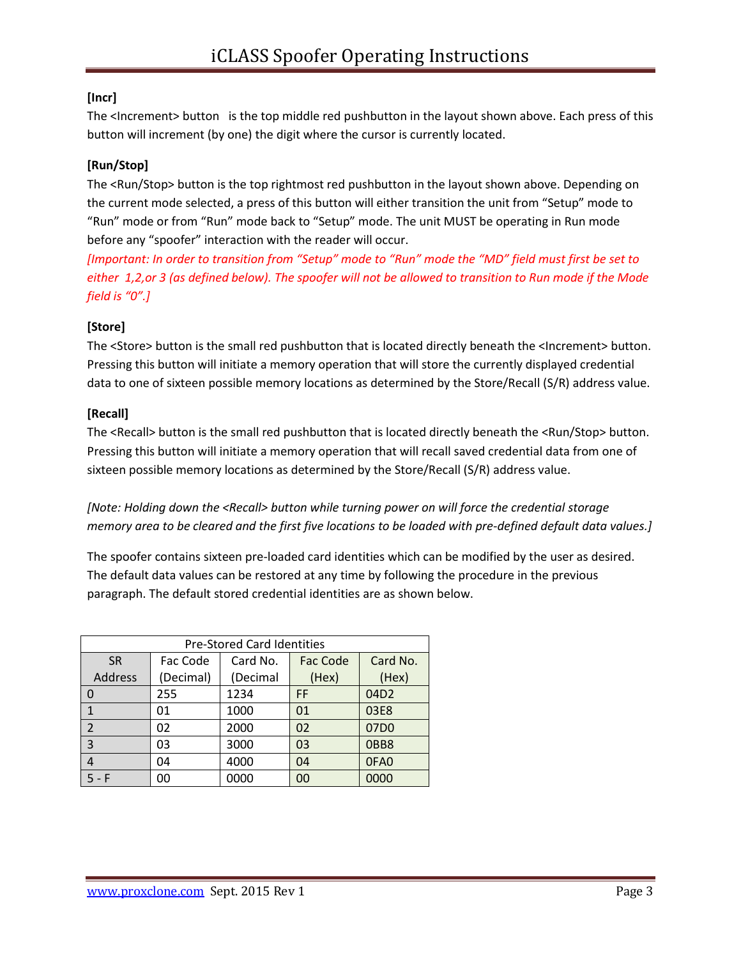# **[Incr]**

The <Increment> button is the top middle red pushbutton in the layout shown above. Each press of this button will increment (by one) the digit where the cursor is currently located.

### **[Run/Stop]**

The <Run/Stop> button is the top rightmost red pushbutton in the layout shown above. Depending on the current mode selected, a press of this button will either transition the unit from "Setup" mode to "Run" mode or from "Run" mode back to "Setup" mode. The unit MUST be operating in Run mode before any "spoofer" interaction with the reader will occur.

*[Important: In order to transition from "Setup" mode to "Run" mode the "MD" field must first be set to either 1,2,or 3 (as defined below). The spoofer will not be allowed to transition to Run mode if the Mode field is "0".]*

### **[Store]**

The <Store> button is the small red pushbutton that is located directly beneath the <Increment> button. Pressing this button will initiate a memory operation that will store the currently displayed credential data to one of sixteen possible memory locations as determined by the Store/Recall (S/R) address value.

### **[Recall]**

The <Recall> button is the small red pushbutton that is located directly beneath the <Run/Stop> button. Pressing this button will initiate a memory operation that will recall saved credential data from one of sixteen possible memory locations as determined by the Store/Recall (S/R) address value.

*[Note: Holding down the <Recall> button while turning power on will force the credential storage memory area to be cleared and the first five locations to be loaded with pre-defined default data values.]*

The spoofer contains sixteen pre-loaded card identities which can be modified by the user as desired. The default data values can be restored at any time by following the procedure in the previous paragraph. The default stored credential identities are as shown below.

| <b>Pre-Stored Card Identities</b> |           |          |          |          |  |  |
|-----------------------------------|-----------|----------|----------|----------|--|--|
| <b>SR</b>                         | Fac Code  | Card No. | Fac Code | Card No. |  |  |
| Address                           | (Decimal) | (Decimal | (Hex)    | (Hex)    |  |  |
| 0                                 | 255       | 1234     | FF       | 04D2     |  |  |
|                                   | 01        | 1000     | 01       | 03E8     |  |  |
| $\overline{2}$                    | 02        | 2000     | 02       | 07D0     |  |  |
| 3                                 | 03        | 3000     | 03       | OBB8     |  |  |
| 4                                 | 04        | 4000     | 04       | 0FA0     |  |  |
| – F                               | 00        | 0000     | 00       | 0000     |  |  |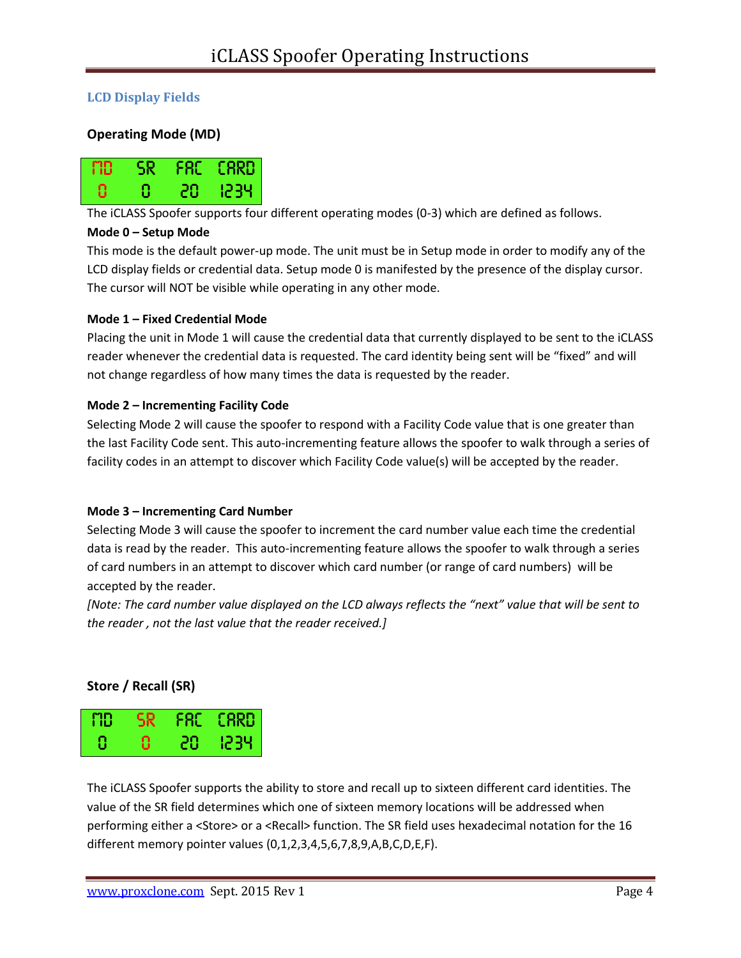### **LCD Display Fields**

### **Operating Mode (MD)**



The iCLASS Spoofer supports four different operating modes (0-3) which are defined as follows.

#### **Mode 0 – Setup Mode**

This mode is the default power-up mode. The unit must be in Setup mode in order to modify any of the LCD display fields or credential data. Setup mode 0 is manifested by the presence of the display cursor. The cursor will NOT be visible while operating in any other mode.

#### **Mode 1 – Fixed Credential Mode**

Placing the unit in Mode 1 will cause the credential data that currently displayed to be sent to the iCLASS reader whenever the credential data is requested. The card identity being sent will be "fixed" and will not change regardless of how many times the data is requested by the reader.

#### **Mode 2 – Incrementing Facility Code**

Selecting Mode 2 will cause the spoofer to respond with a Facility Code value that is one greater than the last Facility Code sent. This auto-incrementing feature allows the spoofer to walk through a series of facility codes in an attempt to discover which Facility Code value(s) will be accepted by the reader.

#### **Mode 3 – Incrementing Card Number**

Selecting Mode 3 will cause the spoofer to increment the card number value each time the credential data is read by the reader. This auto-incrementing feature allows the spoofer to walk through a series of card numbers in an attempt to discover which card number (or range of card numbers) will be accepted by the reader.

*[Note: The card number value displayed on the LCD always reflects the "next" value that will be sent to the reader , not the last value that the reader received.]*

#### **Store / Recall (SR)**

| <b>FID</b> | <b>NSR</b> |     | $FAC$ $CRRD$ |
|------------|------------|-----|--------------|
| -8         | Ω          | 207 | - 1234       |

The iCLASS Spoofer supports the ability to store and recall up to sixteen different card identities. The value of the SR field determines which one of sixteen memory locations will be addressed when performing either a <Store> or a <Recall> function. The SR field uses hexadecimal notation for the 16 different memory pointer values (0,1,2,3,4,5,6,7,8,9,A,B,C,D,E,F).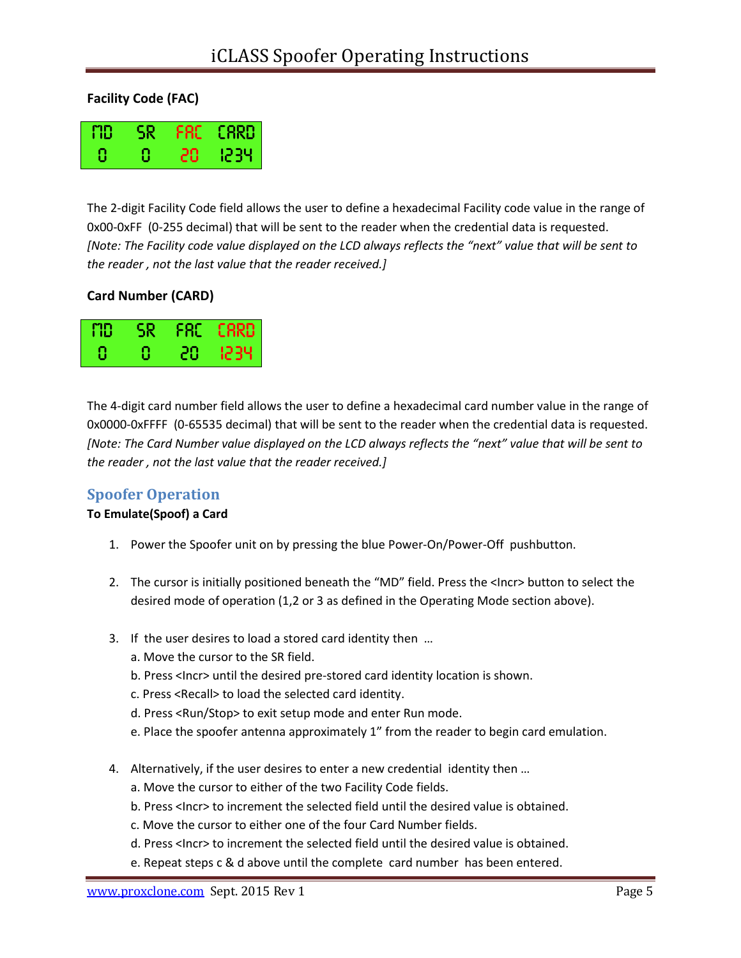## **Facility Code (FAC)**

| MD | SR | FRE I | <b>CARD</b> |
|----|----|-------|-------------|
| 8  | Ω  | 20    | 1234        |

The 2-digit Facility Code field allows the user to define a hexadecimal Facility code value in the range of 0x00-0xFF (0-255 decimal) that will be sent to the reader when the credential data is requested. *[Note: The Facility code value displayed on the LCD always reflects the "next" value that will be sent to the reader , not the last value that the reader received.]*

## **Card Number (CARD)**

| FID | 5R |    | FRE ERRD |
|-----|----|----|----------|
|     | 8  | 28 | 1234.    |

The 4-digit card number field allows the user to define a hexadecimal card number value in the range of 0x0000-0xFFFF (0-65535 decimal) that will be sent to the reader when the credential data is requested. *[Note: The Card Number value displayed on the LCD always reflects the "next" value that will be sent to the reader , not the last value that the reader received.]*

# **Spoofer Operation**

### **To Emulate(Spoof) a Card**

- 1. Power the Spoofer unit on by pressing the blue Power-On/Power-Off pushbutton.
- 2. The cursor is initially positioned beneath the "MD" field. Press the <Incr> button to select the desired mode of operation (1,2 or 3 as defined in the Operating Mode section above).
- 3. If the user desires to load a stored card identity then …
	- a. Move the cursor to the SR field.
	- b. Press <Incr> until the desired pre-stored card identity location is shown.
	- c. Press <Recall> to load the selected card identity.
	- d. Press <Run/Stop> to exit setup mode and enter Run mode.
	- e. Place the spoofer antenna approximately 1" from the reader to begin card emulation.
- 4. Alternatively, if the user desires to enter a new credential identity then …
	- a. Move the cursor to either of the two Facility Code fields.
	- b. Press <Incr> to increment the selected field until the desired value is obtained.
	- c. Move the cursor to either one of the four Card Number fields.
	- d. Press <Incr> to increment the selected field until the desired value is obtained.
	- e. Repeat steps c & d above until the complete card number has been entered.